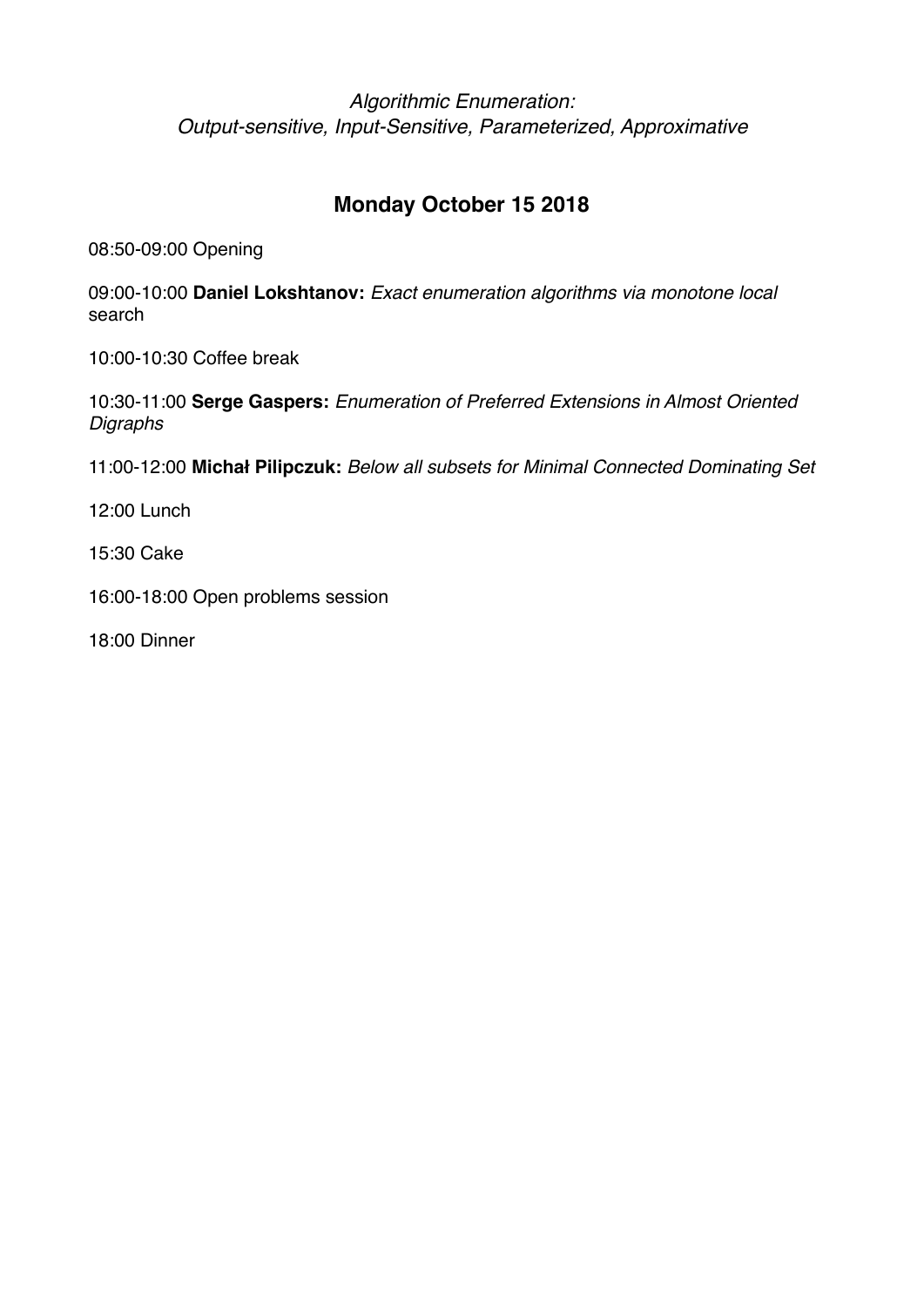## **Monday October 15 2018**

08:50-09:00 Opening

09:00-10:00 **Daniel Lokshtanov:** *Exact enumeration algorithms via monotone local*  search

10:00-10:30 Coffee break

10:30-11:00 **Serge Gaspers:** *Enumeration of Preferred Extensions in Almost Oriented Digraphs*

11:00-12:00 **Michał Pilipczuk:** *Below all subsets for Minimal Connected Dominating Set*

12:00 Lunch

15:30 Cake

16:00-18:00 Open problems session

18:00 Dinner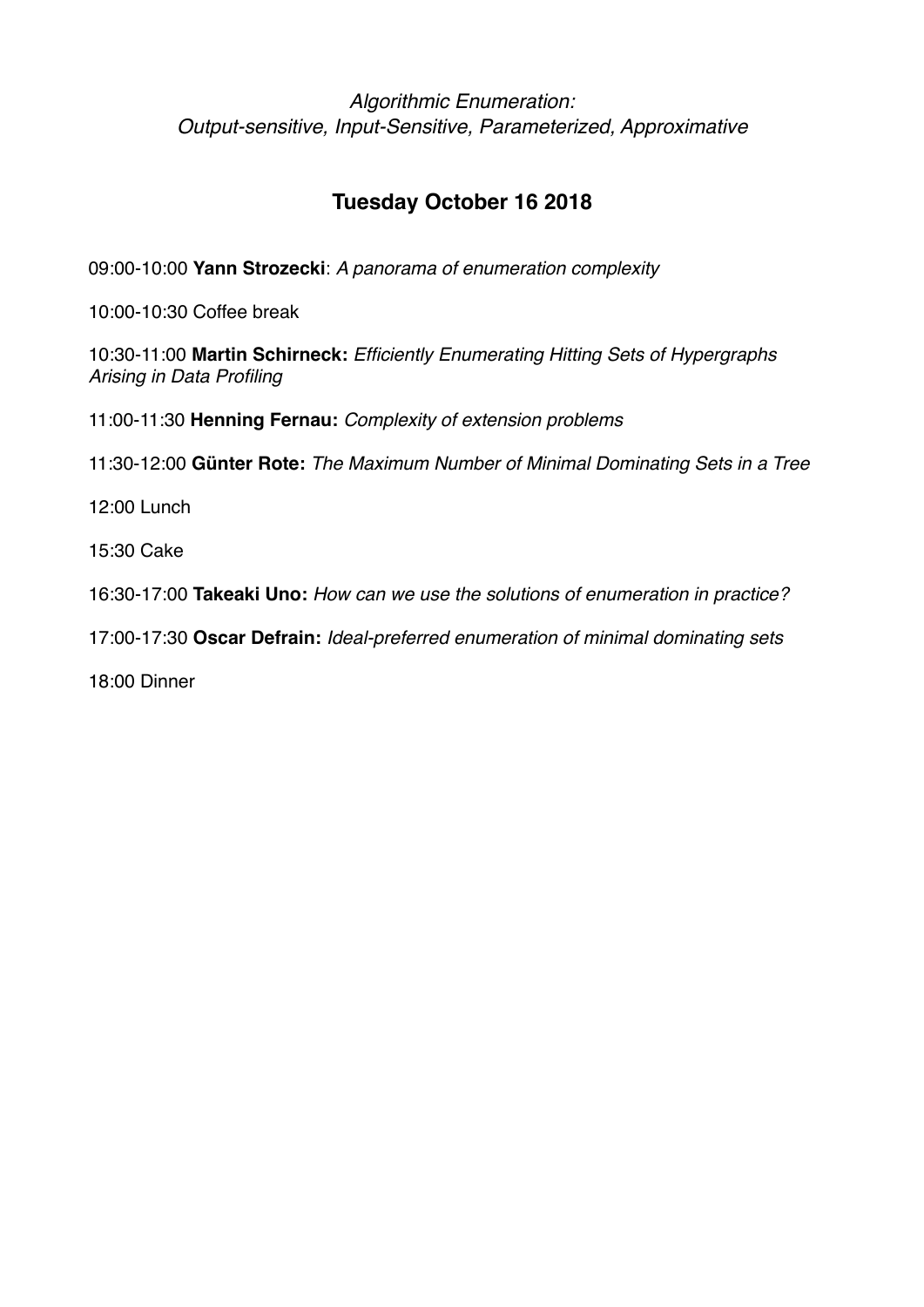# **Tuesday October 16 2018**

09:00-10:00 **Yann Strozecki**: *A panorama of enumeration complexity*

10:00-10:30 Coffee break

10:30-11:00 **Martin Schirneck:** *Efficiently Enumerating Hitting Sets of Hypergraphs Arising in Data Profiling*

11:00-11:30 **Henning Fernau:** *Complexity of extension problems*

11:30-12:00 **Günter Rote:** *The Maximum Number of Minimal Dominating Sets in a Tree*

12:00 Lunch

15:30 Cake

16:30-17:00 **Takeaki Uno:** *How can we use the solutions of enumeration in practice?*

17:00-17:30 **Oscar Defrain:** *Ideal-preferred enumeration of minimal dominating sets*

18:00 Dinner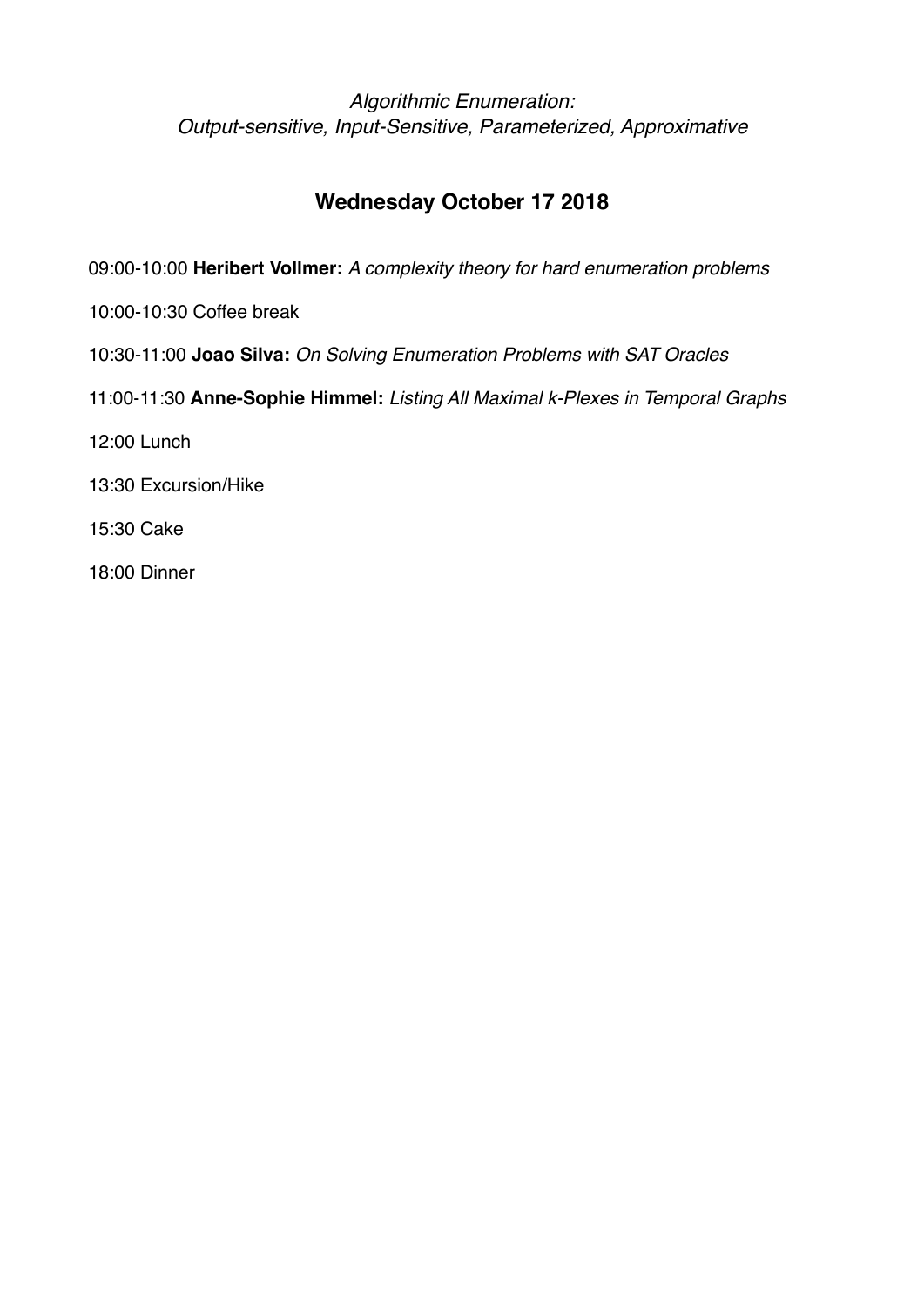# **Wednesday October 17 2018**

- 09:00-10:00 **Heribert Vollmer:** *A complexity theory for hard enumeration problems*
- 10:00-10:30 Coffee break
- 10:30-11:00 **Joao Silva:** *On Solving Enumeration Problems with SAT Oracles*
- 11:00-11:30 **Anne-Sophie Himmel:** *Listing All Maximal k-Plexes in Temporal Graphs*
- 12:00 Lunch
- 13:30 Excursion/Hike
- 15:30 Cake
- 18:00 Dinner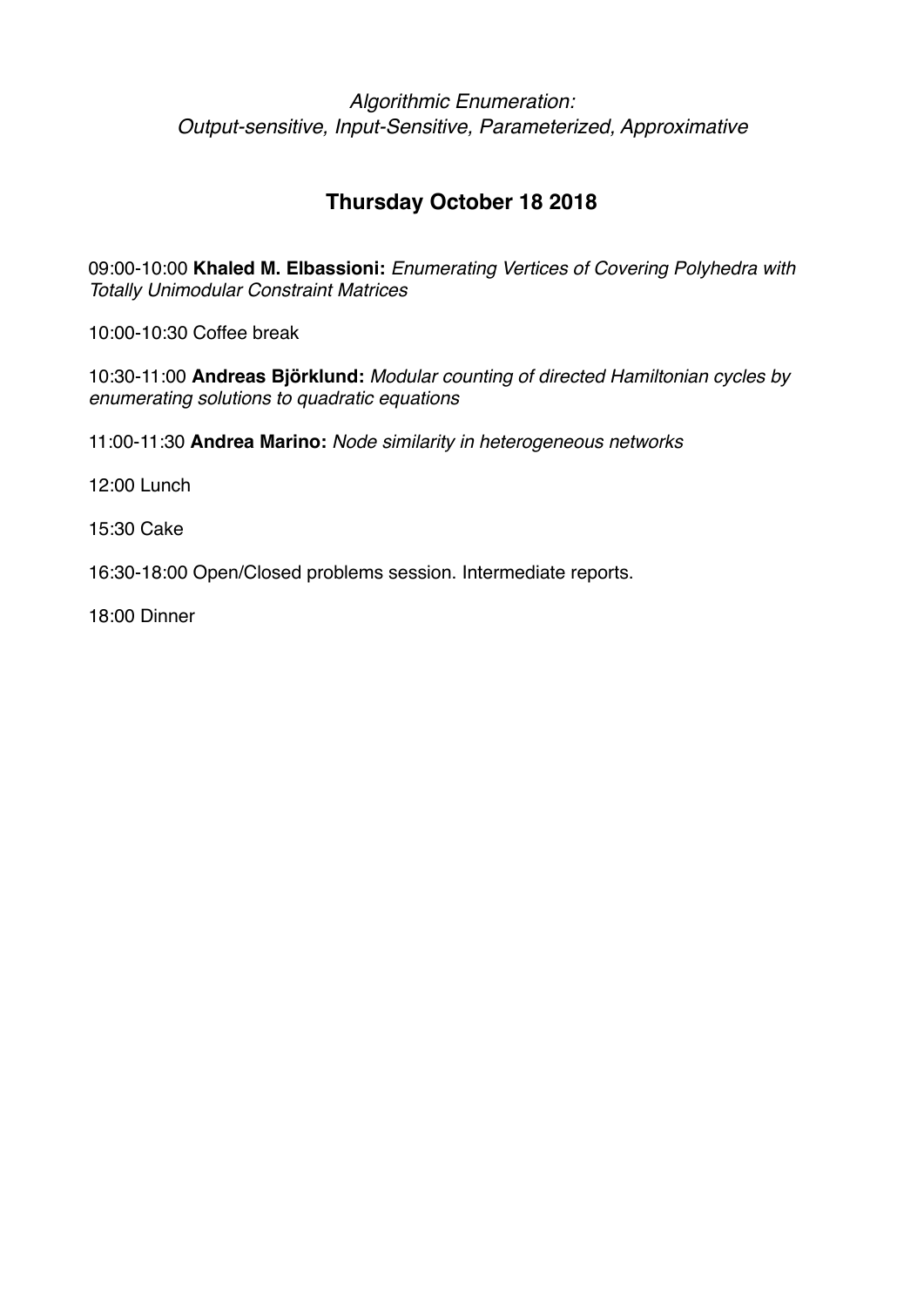# **Thursday October 18 2018**

09:00-10:00 **Khaled M. Elbassioni:** *Enumerating Vertices of Covering Polyhedra with Totally Unimodular Constraint Matrices*

10:00-10:30 Coffee break

10:30-11:00 **Andreas Björklund:** *Modular counting of directed Hamiltonian cycles by enumerating solutions to quadratic equations*

11:00-11:30 **Andrea Marino:** *Node similarity in heterogeneous networks*

12:00 Lunch

15:30 Cake

16:30-18:00 Open/Closed problems session. Intermediate reports.

18:00 Dinner